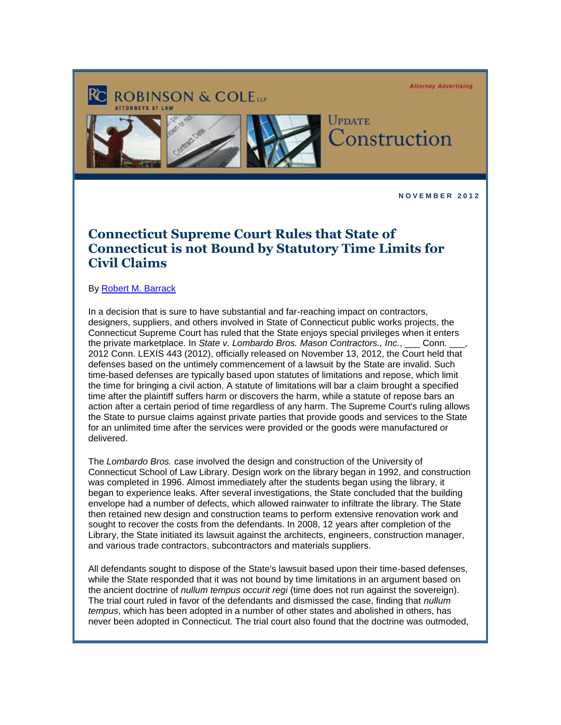**Attorney Advertising** 





ROBINSON & COLE

UPDATE Construction

**N O V E M B E R 2 0 1 2** 

## **Connecticut Supreme Court Rules that State of Connecticut is not Bound by Statutory Time Limits for Civil Claims**

By [Robert M. Barrack](http://cl.exct.net/?ju=fe2a1775776c067c721578&ls=fde61d797263037f7c157477&m=fefb1671756c0d&l=fec811727763027c&s=fe25167675620c7c721078&jb=ffcf14&t=)

In a decision that is sure to have substantial and far-reaching impact on contractors, designers, suppliers, and others involved in State of Connecticut public works projects, the Connecticut Supreme Court has ruled that the State enjoys special privileges when it enters the private marketplace. In State v. Lombardo Bros. Mason Contractors., Inc., 
conn. the private marketplace. In *State v. Lombardo Bros. Mason Contractors., Inc.*, 2012 Conn. LEXIS 443 (2012), officially released on November 13, 2012, the Court held that defenses based on the untimely commencement of a lawsuit by the State are invalid. Such time-based defenses are typically based upon statutes of limitations and repose, which limit the time for bringing a civil action. A statute of limitations will bar a claim brought a specified time after the plaintiff suffers harm or discovers the harm, while a statute of repose bars an action after a certain period of time regardless of any harm. The Supreme Court's ruling allows the State to pursue claims against private parties that provide goods and services to the State for an unlimited time after the services were provided or the goods were manufactured or delivered.

The *Lombardo Bros.* case involved the design and construction of the University of Connecticut School of Law Library. Design work on the library began in 1992, and construction was completed in 1996. Almost immediately after the students began using the library, it began to experience leaks. After several investigations, the State concluded that the building envelope had a number of defects, which allowed rainwater to infiltrate the library. The State then retained new design and construction teams to perform extensive renovation work and sought to recover the costs from the defendants. In 2008, 12 years after completion of the Library, the State initiated its lawsuit against the architects, engineers, construction manager, and various trade contractors, subcontractors and materials suppliers.

All defendants sought to dispose of the State's lawsuit based upon their time-based defenses, while the State responded that it was not bound by time limitations in an argument based on the ancient doctrine of *nullum tempus occurit regi* (time does not run against the sovereign). The trial court ruled in favor of the defendants and dismissed the case, finding that *nullum tempus*, which has been adopted in a number of other states and abolished in others, has never been adopted in Connecticut. The trial court also found that the doctrine was outmoded,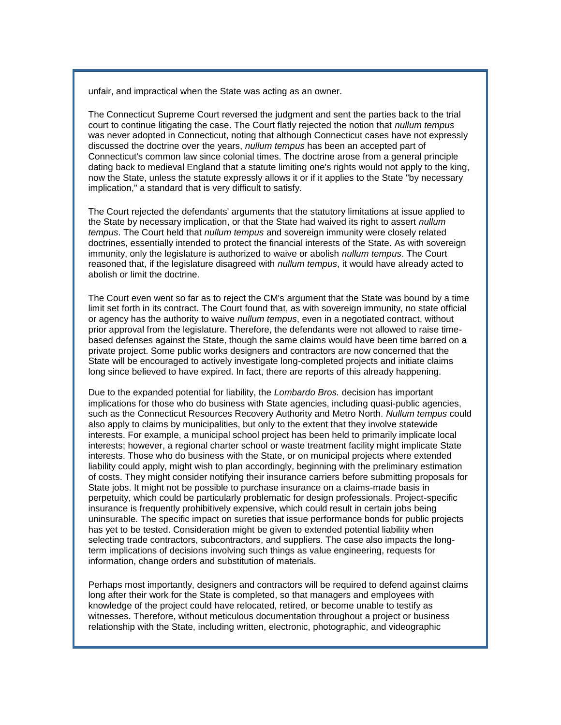unfair, and impractical when the State was acting as an owner.

The Connecticut Supreme Court reversed the judgment and sent the parties back to the trial court to continue litigating the case. The Court flatly rejected the notion that *nullum tempus* was never adopted in Connecticut, noting that although Connecticut cases have not expressly discussed the doctrine over the years, *nullum tempus* has been an accepted part of Connecticut's common law since colonial times. The doctrine arose from a general principle dating back to medieval England that a statute limiting one's rights would not apply to the king, now the State, unless the statute expressly allows it or if it applies to the State "by necessary implication," a standard that is very difficult to satisfy.

The Court rejected the defendants' arguments that the statutory limitations at issue applied to the State by necessary implication, or that the State had waived its right to assert *nullum tempus*. The Court held that *nullum tempus* and sovereign immunity were closely related doctrines, essentially intended to protect the financial interests of the State. As with sovereign immunity, only the legislature is authorized to waive or abolish *nullum tempus*. The Court reasoned that, if the legislature disagreed with *nullum tempus*, it would have already acted to abolish or limit the doctrine.

The Court even went so far as to reject the CM's argument that the State was bound by a time limit set forth in its contract. The Court found that, as with sovereign immunity, no state official or agency has the authority to waive *nullum tempus*, even in a negotiated contract, without prior approval from the legislature. Therefore, the defendants were not allowed to raise timebased defenses against the State, though the same claims would have been time barred on a private project. Some public works designers and contractors are now concerned that the State will be encouraged to actively investigate long-completed projects and initiate claims long since believed to have expired. In fact, there are reports of this already happening.

Due to the expanded potential for liability, the *Lombardo Bros.* decision has important implications for those who do business with State agencies, including quasi-public agencies, such as the Connecticut Resources Recovery Authority and Metro North. *Nullum tempus* could also apply to claims by municipalities, but only to the extent that they involve statewide interests. For example, a municipal school project has been held to primarily implicate local interests; however, a regional charter school or waste treatment facility might implicate State interests. Those who do business with the State, or on municipal projects where extended liability could apply, might wish to plan accordingly, beginning with the preliminary estimation of costs. They might consider notifying their insurance carriers before submitting proposals for State jobs. It might not be possible to purchase insurance on a claims-made basis in perpetuity, which could be particularly problematic for design professionals. Project-specific insurance is frequently prohibitively expensive, which could result in certain jobs being uninsurable. The specific impact on sureties that issue performance bonds for public projects has yet to be tested. Consideration might be given to extended potential liability when selecting trade contractors, subcontractors, and suppliers. The case also impacts the longterm implications of decisions involving such things as value engineering, requests for information, change orders and substitution of materials.

Perhaps most importantly, designers and contractors will be required to defend against claims long after their work for the State is completed, so that managers and employees with knowledge of the project could have relocated, retired, or become unable to testify as witnesses. Therefore, without meticulous documentation throughout a project or business relationship with the State, including written, electronic, photographic, and videographic